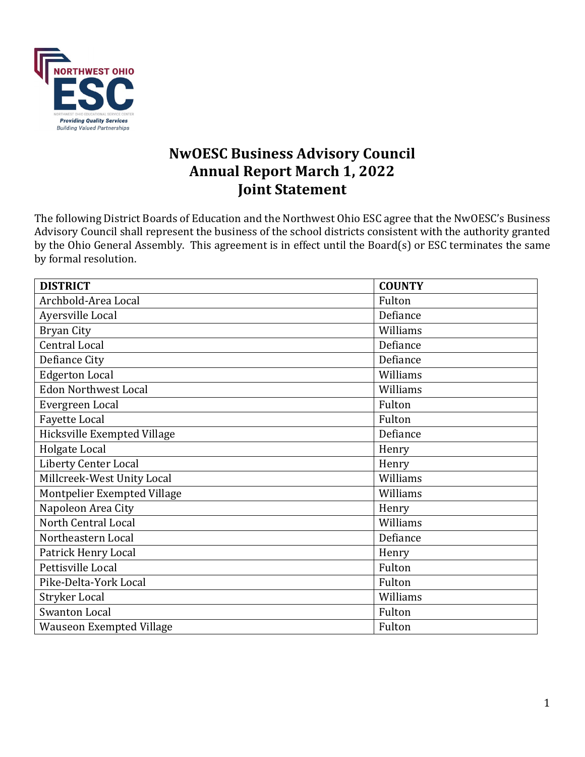

# **NwOESC Business Advisory Council Annual Report March 1, 2022 Joint Statement**

The following District Boards of Education and the Northwest Ohio ESC agree that the NwOESC's Business Advisory Council shall represent the business of the school districts consistent with the authority granted by the Ohio General Assembly. This agreement is in effect until the Board(s) or ESC terminates the same by formal resolution.

| <b>DISTRICT</b>                 | <b>COUNTY</b> |
|---------------------------------|---------------|
| Archbold-Area Local             | Fulton        |
| Ayersville Local                | Defiance      |
| <b>Bryan City</b>               | Williams      |
| Central Local                   | Defiance      |
| Defiance City                   | Defiance      |
| <b>Edgerton Local</b>           | Williams      |
| <b>Edon Northwest Local</b>     | Williams      |
| Evergreen Local                 | Fulton        |
| <b>Fayette Local</b>            | Fulton        |
| Hicksville Exempted Village     | Defiance      |
| Holgate Local                   | Henry         |
| <b>Liberty Center Local</b>     | Henry         |
| Millcreek-West Unity Local      | Williams      |
| Montpelier Exempted Village     | Williams      |
| Napoleon Area City              | Henry         |
| North Central Local             | Williams      |
| Northeastern Local              | Defiance      |
| Patrick Henry Local             | Henry         |
| Pettisville Local               | Fulton        |
| Pike-Delta-York Local           | Fulton        |
| <b>Stryker Local</b>            | Williams      |
| <b>Swanton Local</b>            | Fulton        |
| <b>Wauseon Exempted Village</b> | Fulton        |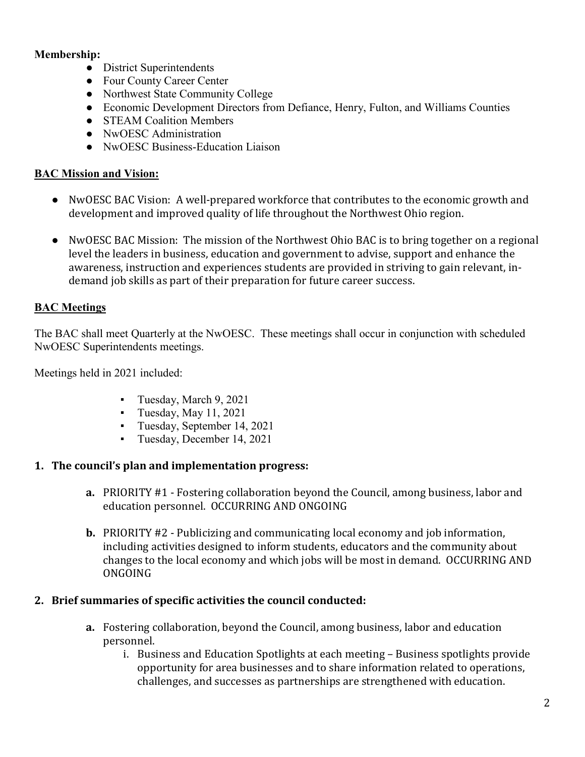## **Membership:**

- District Superintendents
- Four County Career Center
- Northwest State Community College
- Economic Development Directors from Defiance, Henry, Fulton, and Williams Counties
- STEAM Coalition Members
- NwOESC Administration
- NwOESC Business-Education Liaison

### **BAC Mission and Vision:**

- NwOESC BAC Vision: A well-prepared workforce that contributes to the economic growth and development and improved quality of life throughout the Northwest Ohio region.
- NwOESC BAC Mission: The mission of the Northwest Ohio BAC is to bring together on a regional level the leaders in business, education and government to advise, support and enhance the awareness, instruction and experiences students are provided in striving to gain relevant, indemand job skills as part of their preparation for future career success.

## **BAC Meetings**

The BAC shall meet Quarterly at the NwOESC. These meetings shall occur in conjunction with scheduled NwOESC Superintendents meetings.

Meetings held in 2021 included:

- Tuesday, March 9, 2021
- $\blacksquare$  Tuesday, May 11, 2021
- Tuesday, September 14, 2021
- Tuesday, December 14, 2021

### **1. The council's plan and implementation progress:**

- **a.** PRIORITY #1 Fostering collaboration beyond the Council, among business, labor and education personnel. OCCURRING AND ONGOING
- **b.** PRIORITY #2 Publicizing and communicating local economy and job information, including activities designed to inform students, educators and the community about changes to the local economy and which jobs will be most in demand. OCCURRING AND ONGOING

#### **2. Brief summaries of specific activities the council conducted:**

- **a.** Fostering collaboration, beyond the Council, among business, labor and education personnel.
	- i. Business and Education Spotlights at each meeting Business spotlights provide opportunity for area businesses and to share information related to operations, challenges, and successes as partnerships are strengthened with education.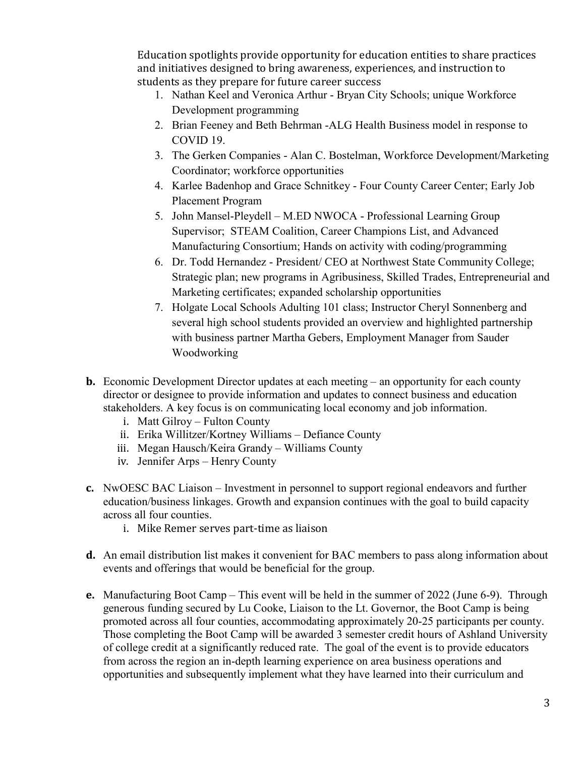Education spotlights provide opportunity for education entities to share practices and initiatives designed to bring awareness, experiences, and instruction to students as they prepare for future career success

- 1. Nathan Keel and Veronica Arthur Bryan City Schools; unique Workforce Development programming
- 2. Brian Feeney and Beth Behrman -ALG Health Business model in response to COVID 19.
- 3. The Gerken Companies Alan C. Bostelman, Workforce Development/Marketing Coordinator; workforce opportunities
- 4. Karlee Badenhop and Grace Schnitkey Four County Career Center; Early Job Placement Program
- 5. John Mansel-Pleydell M.ED NWOCA Professional Learning Group Supervisor; STEAM Coalition, Career Champions List, and Advanced Manufacturing Consortium; Hands on activity with coding/programming
- 6. Dr. Todd Hernandez President/ CEO at Northwest State Community College; Strategic plan; new programs in Agribusiness, Skilled Trades, Entrepreneurial and Marketing certificates; expanded scholarship opportunities
- 7. Holgate Local Schools Adulting 101 class; Instructor Cheryl Sonnenberg and several high school students provided an overview and highlighted partnership with business partner Martha Gebers, Employment Manager from Sauder Woodworking
- **b.** Economic Development Director updates at each meeting an opportunity for each county director or designee to provide information and updates to connect business and education stakeholders. A key focus is on communicating local economy and job information.
	- i. Matt Gilroy Fulton County
	- ii. Erika Willitzer/Kortney Williams Defiance County
	- iii. Megan Hausch/Keira Grandy Williams County
	- iv. Jennifer Arps Henry County
- **c.** NwOESC BAC Liaison Investment in personnel to support regional endeavors and further education/business linkages. Growth and expansion continues with the goal to build capacity across all four counties.
	- i. Mike Remer serves part-time as liaison
- **d.** An email distribution list makes it convenient for BAC members to pass along information about events and offerings that would be beneficial for the group.
- **e.** Manufacturing Boot Camp This event will be held in the summer of 2022 (June 6-9). Through generous funding secured by Lu Cooke, Liaison to the Lt. Governor, the Boot Camp is being promoted across all four counties, accommodating approximately 20-25 participants per county. Those completing the Boot Camp will be awarded 3 semester credit hours of Ashland University of college credit at a significantly reduced rate. The goal of the event is to provide educators from across the region an in-depth learning experience on area business operations and opportunities and subsequently implement what they have learned into their curriculum and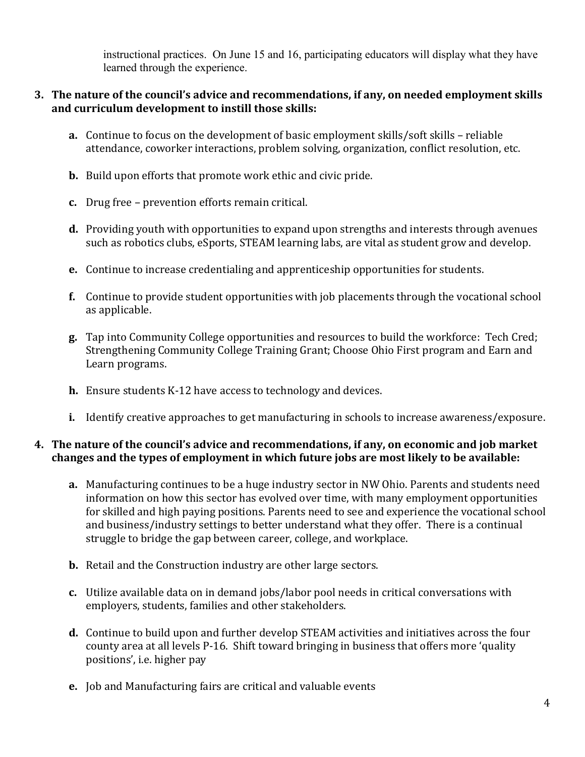instructional practices. On June 15 and 16, participating educators will display what they have learned through the experience.

### **3. The nature of the council's advice and recommendations, if any, on needed employment skills and curriculum development to instill those skills:**

- **a.** Continue to focus on the development of basic employment skills/soft skills reliable attendance, coworker interactions, problem solving, organization, conflict resolution, etc.
- **b.** Build upon efforts that promote work ethic and civic pride.
- **c.** Drug free prevention efforts remain critical.
- **d.** Providing youth with opportunities to expand upon strengths and interests through avenues such as robotics clubs, eSports, STEAM learning labs, are vital as student grow and develop.
- **e.** Continue to increase credentialing and apprenticeship opportunities for students.
- **f.** Continue to provide student opportunities with job placements through the vocational school as applicable.
- **g.** Tap into Community College opportunities and resources to build the workforce: Tech Cred; Strengthening Community College Training Grant; Choose Ohio First program and Earn and Learn programs.
- **h.** Ensure students K-12 have access to technology and devices.
- **i.** Identify creative approaches to get manufacturing in schools to increase awareness/exposure.

### **4. The nature of the council's advice and recommendations, if any, on economic and job market changes and the types of employment in which future jobs are most likely to be available:**

- **a.** Manufacturing continues to be a huge industry sector in NW Ohio. Parents and students need information on how this sector has evolved over time, with many employment opportunities for skilled and high paying positions. Parents need to see and experience the vocational school and business/industry settings to better understand what they offer. There is a continual struggle to bridge the gap between career, college, and workplace.
- **b.** Retail and the Construction industry are other large sectors.
- **c.** Utilize available data on in demand jobs/labor pool needs in critical conversations with employers, students, families and other stakeholders.
- **d.** Continue to build upon and further develop STEAM activities and initiatives across the four county area at all levels P-16. Shift toward bringing in business that offers more 'quality positions', i.e. higher pay
- **e.** Job and Manufacturing fairs are critical and valuable events